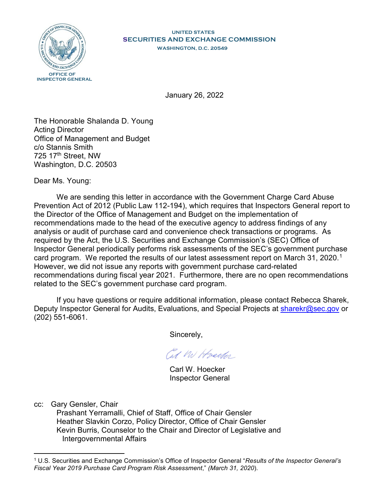

## **UNITED STATES SECURITIES AND EXCHANGE COMMISSION WASHINGTON, D.C. 20549**

January 26, 2022

The Honorable Shalanda D. Young Acting Director Office of Management and Budget c/o Stannis Smith 725 17th Street, NW Washington, D.C. 20503

Dear Ms. Young:

We are sending this letter in accordance with the Government Charge Card Abuse Prevention Act of 2012 (Public Law 112-194), which requires that Inspectors General report to the Director of the Office of Management and Budget on the implementation of recommendations made to the head of the executive agency to address findings of any analysis or audit of purchase card and convenience check transactions or programs. As required by the Act, the U.S. Securities and Exchange Commission's (SEC) Office of Inspector General periodically performs risk assessments of the SEC's government purchase card program. We reported the results of our latest assessment report on March 31, 2020.<sup>1</sup> However, we did not issue any reports with government purchase card-related recommendations during fiscal year 2021. Furthermore, there are no open recommendations related to the SEC's government purchase card program.

If you have questions or require additional information, please contact Rebecca Sharek, Deputy Inspector General for Audits, Evaluations, and Special Projects at sharekr@sec.gov or (202) 551-6061.

Sincerely,

Cut M Hvecker

 Carl W. Hoecker Inspector General

cc: Gary Gensler, Chair

 $\overline{a}$ 

Prashant Yerramalli, Chief of Staff, Office of Chair Gensler Heather Slavkin Corzo, Policy Director, Office of Chair Gensler Kevin Burris, Counselor to the Chair and Director of Legislative and Intergovernmental Affairs

<sup>1</sup> U.S. Securities and Exchange Commission's Office of Inspector General "*Results of the Inspector General's Fiscal Year 2019 Purchase Card Program Risk Assessment*," *(March 31, 2020*).